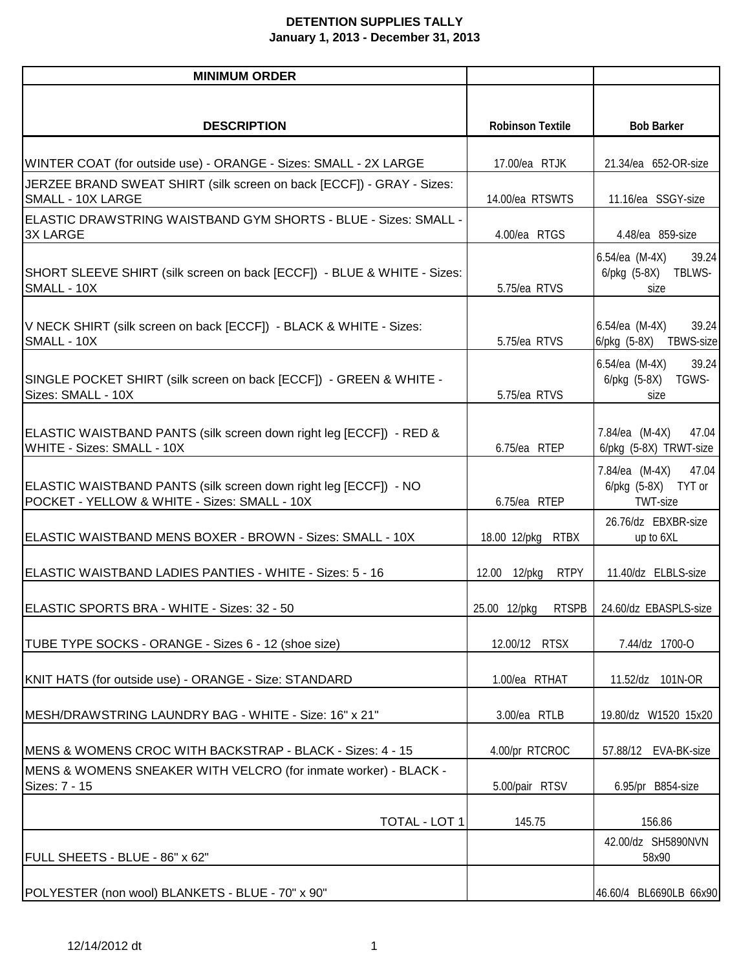## **DETENTION SUPPLIES TALLY January 1, 2013 - December 31, 2013**

| <b>MINIMUM ORDER</b>                                                                                             |                             |                                                                 |
|------------------------------------------------------------------------------------------------------------------|-----------------------------|-----------------------------------------------------------------|
|                                                                                                                  |                             |                                                                 |
| <b>DESCRIPTION</b>                                                                                               | <b>Robinson Textile</b>     | <b>Bob Barker</b>                                               |
| WINTER COAT (for outside use) - ORANGE - Sizes: SMALL - 2X LARGE                                                 | 17.00/ea RTJK               | 21.34/ea 652-OR-size                                            |
| JERZEE BRAND SWEAT SHIRT (silk screen on back [ECCF]) - GRAY - Sizes:<br>SMALL - 10X LARGE                       | 14.00/ea RTSWTS             | 11.16/ea SSGY-size                                              |
| ELASTIC DRAWSTRING WAISTBAND GYM SHORTS - BLUE - Sizes: SMALL -<br><b>3X LARGE</b>                               | 4.00/ea RTGS                | 4.48/ea 859-size                                                |
| SHORT SLEEVE SHIRT (silk screen on back [ECCF]) - BLUE & WHITE - Sizes:<br>SMALL - 10X                           | 5.75/ea RTVS                | $6.54/ea$ (M-4X)<br>39.24<br>6/pkg (5-8X)<br>TBLWS-<br>size     |
| V NECK SHIRT (silk screen on back [ECCF]) - BLACK & WHITE - Sizes:<br>SMALL - 10X                                | 5.75/ea RTVS                | 39.24<br>$6.54/ea$ (M-4X)<br>6/pkg (5-8X) TBWS-size             |
| SINGLE POCKET SHIRT (silk screen on back [ECCF]) - GREEN & WHITE -<br>Sizes: SMALL - 10X                         | 5.75/ea RTVS                | $6.54/ea$ (M-4X)<br>39.24<br>$6$ /pkg $(5-8X)$<br>TGWS-<br>size |
| ELASTIC WAISTBAND PANTS (silk screen down right leg [ECCF]) - RED &<br>WHITE - Sizes: SMALL - 10X                | 6.75/ea RTEP                | 7.84/ea (M-4X)<br>47.04<br>6/pkg (5-8X) TRWT-size               |
| ELASTIC WAISTBAND PANTS (silk screen down right leg [ECCF]) - NO<br>POCKET - YELLOW & WHITE - Sizes: SMALL - 10X | 6.75/ea RTEP                | 7.84/ea (M-4X)<br>47.04<br>6/pkg (5-8X) TYT or<br>TWT-size      |
| ELASTIC WAISTBAND MENS BOXER - BROWN - Sizes: SMALL - 10X                                                        | 18.00 12/pkg<br><b>RTBX</b> | 26.76/dz EBXBR-size<br>up to 6XL                                |
| ELASTIC WAISTBAND LADIES PANTIES - WHITE - Sizes: 5 - 16                                                         | <b>RTPY</b><br>12.00 12/pkg | 11.40/dz ELBLS-size                                             |
| ELASTIC SPORTS BRA - WHITE - Sizes: 32 - 50                                                                      | 25.00 12/pkg                | RTSPB   24.60/dz EBASPLS-size                                   |
| TUBE TYPE SOCKS - ORANGE - Sizes 6 - 12 (shoe size)                                                              | 12.00/12 RTSX               | 7.44/dz 1700-O                                                  |
| KNIT HATS (for outside use) - ORANGE - Size: STANDARD                                                            | 1.00/ea RTHAT               | 11.52/dz 101N-OR                                                |
| MESH/DRAWSTRING LAUNDRY BAG - WHITE - Size: 16" x 21"                                                            | 3.00/ea RTLB                | 19.80/dz W1520 15x20                                            |
| MENS & WOMENS CROC WITH BACKSTRAP - BLACK - Sizes: 4 - 15                                                        | 4.00/pr RTCROC              | 57.88/12<br>EVA-BK-size                                         |
| MENS & WOMENS SNEAKER WITH VELCRO (for inmate worker) - BLACK -<br>Sizes: 7 - 15                                 | 5.00/pair RTSV              | 6.95/pr B854-size                                               |
| TOTAL - LOT 1                                                                                                    | 145.75                      | 156.86                                                          |
| FULL SHEETS - BLUE - 86" x 62"                                                                                   |                             | 42.00/dz SH5890NVN<br>58x90                                     |
| POLYESTER (non wool) BLANKETS - BLUE - 70" x 90"                                                                 |                             | 46.60/4 BL6690LB 66x90                                          |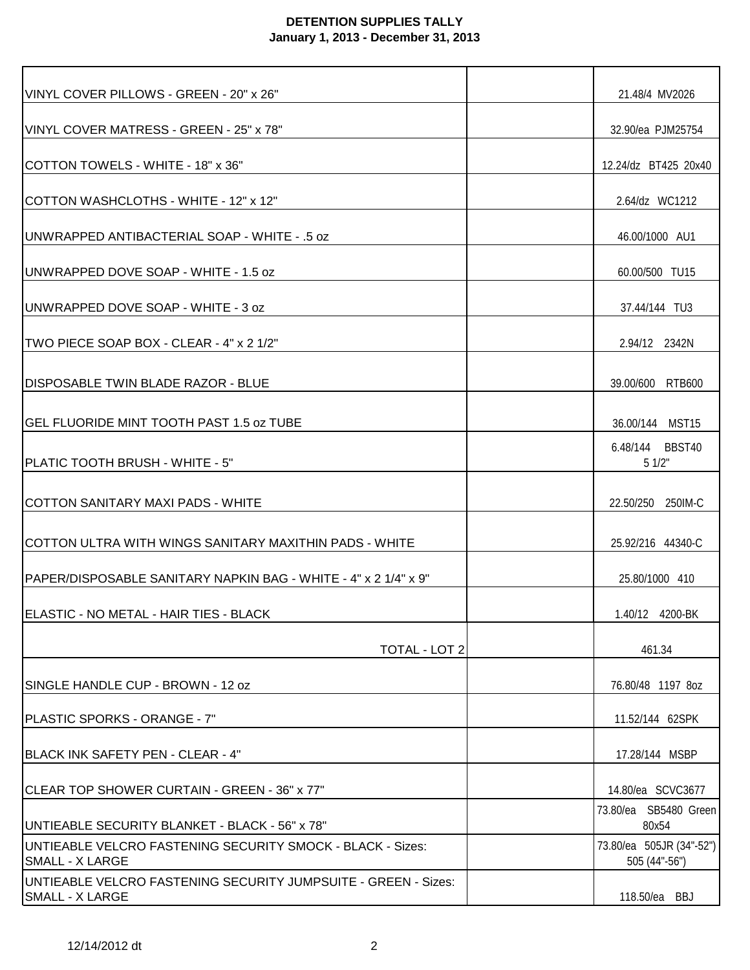## **DETENTION SUPPLIES TALLY January 1, 2013 - December 31, 2013**

| VINYL COVER PILLOWS - GREEN - 20" x 26"                                                  | 21.48/4 MV2026                            |
|------------------------------------------------------------------------------------------|-------------------------------------------|
| VINYL COVER MATRESS - GREEN - 25" x 78"                                                  | 32.90/ea PJM25754                         |
| COTTON TOWELS - WHITE - 18" x 36"                                                        | 12.24/dz BT425 20x40                      |
| COTTON WASHCLOTHS - WHITE - 12" x 12"                                                    | 2.64/dz WC1212                            |
| IUNWRAPPED ANTIBACTERIAL SOAP - WHITE - .5 oz                                            | 46.00/1000 AU1                            |
| UNWRAPPED DOVE SOAP - WHITE - 1.5 oz                                                     | 60.00/500 TU15                            |
| UNWRAPPED DOVE SOAP - WHITE - 3 oz                                                       | 37.44/144 TU3                             |
| TWO PIECE SOAP BOX - CLEAR - 4" x 2 1/2"                                                 | 2.94/12 2342N                             |
| <b>DISPOSABLE TWIN BLADE RAZOR - BLUE</b>                                                | 39.00/600 RTB600                          |
| IGEL FLUORIDE MINT TOOTH PAST 1.5 oz TUBE                                                | 36.00/144 MST15                           |
| PLATIC TOOTH BRUSH - WHITE - 5"                                                          | 6.48/144 BBST40<br>51/2"                  |
| ICOTTON SANITARY MAXI PADS - WHITE                                                       | 22.50/250 250IM-C                         |
| COTTON ULTRA WITH WINGS SANITARY MAXITHIN PADS - WHITE                                   | 25.92/216 44340-C                         |
| IPAPER/DISPOSABLE SANITARY NAPKIN BAG - WHITE - 4" x 2 1/4" x 9"                         | 25.80/1000 410                            |
| ELASTIC - NO METAL - HAIR TIES - BLACK                                                   |                                           |
| TOTAL - LOT 2                                                                            | 461.34                                    |
| SINGLE HANDLE CUP - BROWN - 12 oz                                                        | 76.80/48 1197 8oz                         |
| IPLASTIC SPORKS - ORANGE - 7"                                                            | 11.52/144 62SPK                           |
| BLACK INK SAFETY PEN - CLEAR - 4"                                                        | 17.28/144 MSBP                            |
| CLEAR TOP SHOWER CURTAIN - GREEN - 36" x 77"                                             | 14.80/ea SCVC3677                         |
| UNTIEABLE SECURITY BLANKET - BLACK - 56" x 78"                                           | 73.80/ea SB5480 Green<br>80x54            |
| UNTIEABLE VELCRO FASTENING SECURITY SMOCK - BLACK - Sizes:<br><b>SMALL - X LARGE</b>     | 73.80/ea 505JR (34"-52")<br>505 (44"-56") |
| UNTIEABLE VELCRO FASTENING SECURITY JUMPSUITE - GREEN - Sizes:<br><b>SMALL - X LARGE</b> | 118.50/ea BBJ                             |